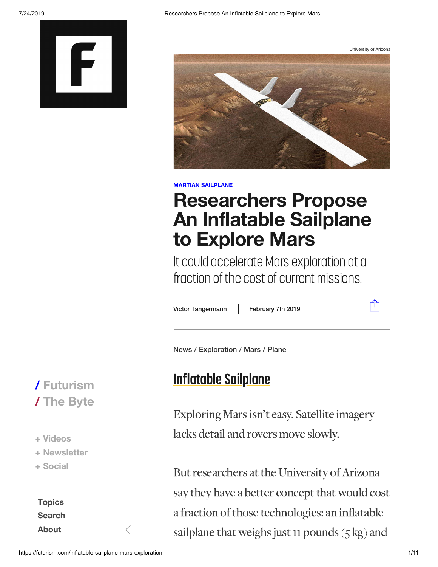

University of Arizona



#### **MARTIAN SAILPLANE**

## **Researchers Propose An Inflatable Sailplane to Explore Mars**

It could accelerate Mars exploration at a fraction of the cost of current missions.

Victo

February 7th 2019

ाी

News / [Exploration](https://futurism.com/tags/exploration) / [Mars](https://futurism.com/tags/mars) / [Plane](https://futurism.com/tags/plane)

#### Inflatable Sailplane

Exploring Marsisn't easy. Satellite imagery lacks detail and rovers move slowly.

But researchers at the University of Arizona say they have a better concept that would cost a fraction of those technologies: an inflatable sailplane that weighs just 11 pounds  $(5 \text{ kg})$  and

### **/ [Futurism](https://futurism.com/) / The [Byte](https://futurism.com/the-byte)**

**+ [Videos](https://futurism.com/videos) + [Newsletter](https://futurism.com/newsletter)**

**+ [Social](https://futurism.com/social)**

**[Topics](https://futurism.com/categories) [Search](https://futurism.com/search) [About](https://futurism.com/about)**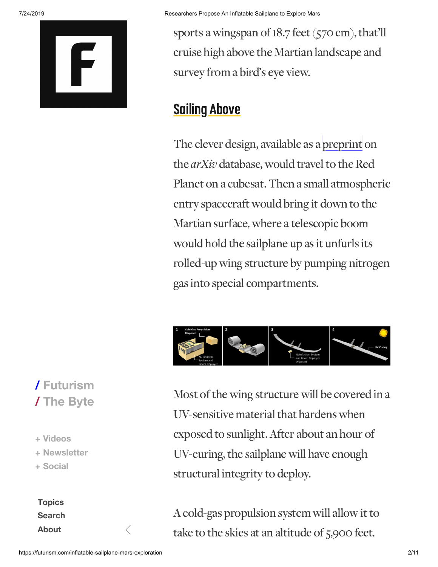

sports a wingspan of 18.7 feet (570 cm), that'll cruise high above the Martian landscape and survey from a bird's eye view.

#### **Sailing Above**

The clever design, available as a preprint on the *arXiv* database, would travel to the Red Planet on a cubesat. Then a small atmospheric entry spacecraft would bring it down to the Martian surface, where a telescopic boom would hold the sailplane up as it unfurls its rolled-up wing structure by pumping nitrogen gasinto special compartments.



Most of the wing structure will be covered in a UV-sensitive material that hardens when exposed to sunlight. After about an hour of UV-curing, the sailplane will have enough structural integrity to deploy.

A cold-gas propulsion system will allow it to take to the skies at an altitude of 5,900 feet.

### **/ [Futurism](https://futurism.com/) / The [Byte](https://futurism.com/the-byte)**

**+ [Videos](https://futurism.com/videos) + [Newsletter](https://futurism.com/newsletter) + [Social](https://futurism.com/social)**

**[Topics](https://futurism.com/categories) [Search](https://futurism.com/search) [About](https://futurism.com/about)**